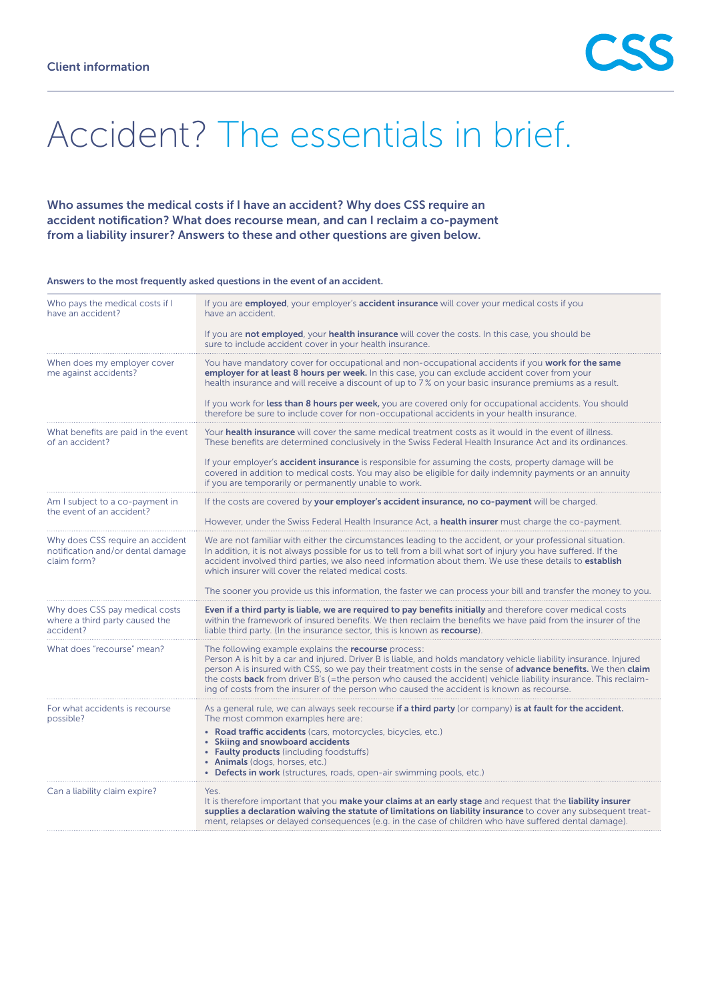

## Accident? The essentials in brief.

## Who assumes the medical costs if I have an accident? Why does CSS require an accident notification? What does recourse mean, and can I reclaim a co-payment from a liability insurer? Answers to these and other questions are given below.

## Answers to the most frequently asked questions in the event of an accident.

| Who pays the medical costs if I<br>have an accident?                                 | If you are <b>employed</b> , your employer's <b>accident insurance</b> will cover your medical costs if you<br>have an accident.                                                                                                                                                                                                                                                                                                                                                                                   |
|--------------------------------------------------------------------------------------|--------------------------------------------------------------------------------------------------------------------------------------------------------------------------------------------------------------------------------------------------------------------------------------------------------------------------------------------------------------------------------------------------------------------------------------------------------------------------------------------------------------------|
|                                                                                      | If you are <b>not employed</b> , your <b>health insurance</b> will cover the costs. In this case, you should be<br>sure to include accident cover in your health insurance.                                                                                                                                                                                                                                                                                                                                        |
| When does my employer cover<br>me against accidents?                                 | You have mandatory cover for occupational and non-occupational accidents if you <b>work for the same</b><br>employer for at least 8 hours per week. In this case, you can exclude accident cover from your<br>health insurance and will receive a discount of up to 7% on your basic insurance premiums as a result.                                                                                                                                                                                               |
|                                                                                      | If you work for less than 8 hours per week, you are covered only for occupational accidents. You should<br>therefore be sure to include cover for non-occupational accidents in your health insurance.                                                                                                                                                                                                                                                                                                             |
| What benefits are paid in the event<br>of an accident?                               | Your health insurance will cover the same medical treatment costs as it would in the event of illness.<br>These benefits are determined conclusively in the Swiss Federal Health Insurance Act and its ordinances.                                                                                                                                                                                                                                                                                                 |
|                                                                                      | If your employer's <b>accident insurance</b> is responsible for assuming the costs, property damage will be<br>covered in addition to medical costs. You may also be eligible for daily indemnity payments or an annuity<br>if you are temporarily or permanently unable to work.                                                                                                                                                                                                                                  |
| Am I subject to a co-payment in<br>the event of an accident?                         | If the costs are covered by your employer's accident insurance, no co-payment will be charged.                                                                                                                                                                                                                                                                                                                                                                                                                     |
|                                                                                      | However, under the Swiss Federal Health Insurance Act, a <b>health insurer</b> must charge the co-payment.                                                                                                                                                                                                                                                                                                                                                                                                         |
| Why does CSS require an accident<br>notification and/or dental damage<br>claim form? | We are not familiar with either the circumstances leading to the accident, or your professional situation.<br>In addition, it is not always possible for us to tell from a bill what sort of injury you have suffered. If the<br>accident involved third parties, we also need information about them. We use these details to establish<br>which insurer will cover the related medical costs.                                                                                                                    |
|                                                                                      | The sooner you provide us this information, the faster we can process your bill and transfer the money to you.                                                                                                                                                                                                                                                                                                                                                                                                     |
| Why does CSS pay medical costs<br>where a third party caused the<br>accident?        | Even if a third party is liable, we are required to pay benefits initially and therefore cover medical costs<br>within the framework of insured benefits. We then reclaim the benefits we have paid from the insurer of the<br>liable third party. (In the insurance sector, this is known as <b>recourse</b> ).                                                                                                                                                                                                   |
| What does "recourse" mean?                                                           | The following example explains the <b>recourse</b> process:<br>Person A is hit by a car and injured. Driver B is liable, and holds mandatory vehicle liability insurance. Injured<br>person A is insured with CSS, so we pay their treatment costs in the sense of advance benefits. We then claim<br>the costs back from driver B's (=the person who caused the accident) vehicle liability insurance. This reclaim-<br>ing of costs from the insurer of the person who caused the accident is known as recourse. |
| For what accidents is recourse<br>possible?                                          | As a general rule, we can always seek recourse if a third party (or company) is at fault for the accident.<br>The most common examples here are:                                                                                                                                                                                                                                                                                                                                                                   |
|                                                                                      | • Road traffic accidents (cars, motorcycles, bicycles, etc.)<br>• Skiing and snowboard accidents<br>• Faulty products (including foodstuffs)<br>• Animals (dogs, horses, etc.)<br>• Defects in work (structures, roads, open-air swimming pools, etc.)                                                                                                                                                                                                                                                             |
| Can a liability claim expire?                                                        | Yes.<br>It is therefore important that you make your claims at an early stage and request that the liability insurer<br>supplies a declaration waiving the statute of limitations on liability insurance to cover any subsequent treat-<br>ment, relapses or delayed consequences (e.g. in the case of children who have suffered dental damage).                                                                                                                                                                  |